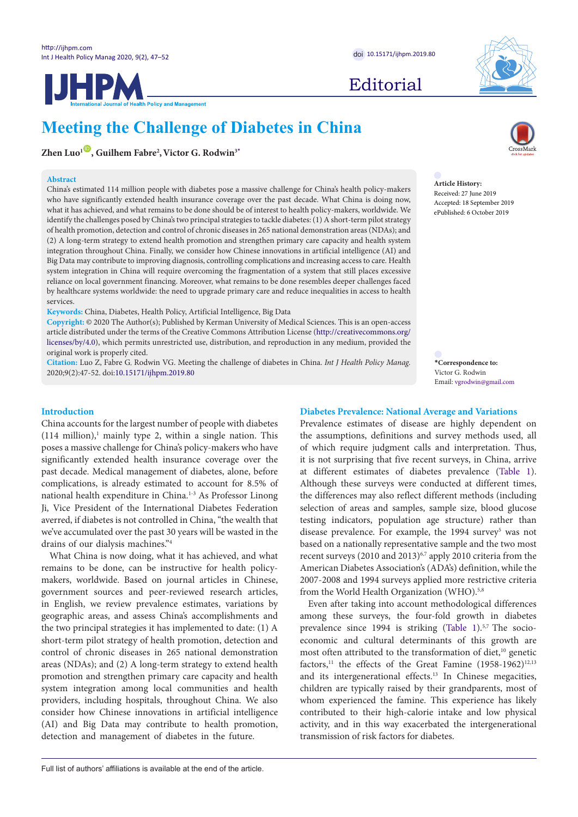**IJHPM** 



Editorial

# **Meeting the Challenge of Diabetes in China**

**Policy and Management** 

 $\mathbf{Z}$ hen Luo<sup>1</sup>  $\mathbf{D}$ , Guilhem Fabre<sup>2</sup>, Victor G. Rodwin<sup>3</sup>[\\*](#page-0-0)

#### **Abstract**

China's estimated 114 million people with diabetes pose a massive challenge for China's health policy-makers who have significantly extended health insurance coverage over the past decade. What China is doing now, what it has achieved, and what remains to be done should be of interest to health policy-makers, worldwide. We identify the challenges posed by China's two principal strategies to tackle diabetes: (1) A short-term pilot strategy of health promotion, detection and control of chronic diseases in 265 national demonstration areas (NDAs); and (2) A long-term strategy to extend health promotion and strengthen primary care capacity and health system integration throughout China. Finally, we consider how Chinese innovations in artificial intelligence (AI) and Big Data may contribute to improving diagnosis, controlling complications and increasing access to care. Health system integration in China will require overcoming the fragmentation of a system that still places excessive reliance on local government financing. Moreover, what remains to be done resembles deeper challenges faced by healthcare systems worldwide: the need to upgrade primary care and reduce inequalities in access to health services.

**Keywords:** China, Diabetes, Health Policy, Artificial Intelligence, Big Data

**Copyright:** © 2020 The Author(s); Published by Kerman University of Medical Sciences. This is an open-access article distributed under the terms of the Creative Commons Attribution License ([http://creativecommons.org/](http://creativecommons.org/licenses/by/4.0) [licenses/by/4.0](http://creativecommons.org/licenses/by/4.0)), which permits unrestricted use, distribution, and reproduction in any medium, provided the original work is properly cited.

**Citation:** Luo Z, Fabre G, Rodwin VG. Meeting the challenge of diabetes in China. *Int J Health Policy Manag.*  2020;9(2):47-52. doi:[10.15171/ijhpm.2019.80](https://doi.org/10.15171/ijhpm.2019.80)



**Article History:** Received: 27 June 2019 Accepted: 18 September 2019 ePublished: 6 October 2019

<span id="page-0-0"></span>**\*Correspondence to:** Victor G. Rodwin Email: vgrodwin@gmail.com

# **Introduction**

China accounts for the largest number of people with diabetes  $(114 \text{ million})$ ,<sup>1</sup> mainly type 2, within a single nation. This poses a massive challenge for China's policy-makers who have significantly extended health insurance coverage over the past decade. Medical management of diabetes, alone, before complications, is already estimated to account for 8.5% of national health expenditure in China.1-3 As Professor Linong Ji, Vice President of the International Diabetes Federation averred, if diabetes is not controlled in China, "the wealth that we've accumulated over the past 30 years will be wasted in the drains of our dialysis machines."4

What China is now doing, what it has achieved, and what remains to be done, can be instructive for health policymakers, worldwide. Based on journal articles in Chinese, government sources and peer-reviewed research articles, in English, we review prevalence estimates, variations by geographic areas, and assess China's accomplishments and the two principal strategies it has implemented to date: (1) A short-term pilot strategy of health promotion, detection and control of chronic diseases in 265 national demonstration areas (NDAs); and (2) A long-term strategy to extend health promotion and strengthen primary care capacity and health system integration among local communities and health providers, including hospitals, throughout China. We also consider how Chinese innovations in artificial intelligence (AI) and Big Data may contribute to health promotion, detection and management of diabetes in the future.

Prevalence estimates of disease are highly dependent on the assumptions, definitions and survey methods used, all of which require judgment calls and interpretation. Thus, it is not surprising that five recent surveys, in China, arrive at different estimates of diabetes prevalence [\(Table 1](#page-1-0)). Although these surveys were conducted at different times, the differences may also reflect different methods (including selection of areas and samples, sample size, blood glucose testing indicators, population age structure) rather than disease prevalence. For example, the 1994 survey<sup>5</sup> was not based on a nationally representative sample and the two most recent surveys (2010 and 2013)<sup>6,7</sup> apply 2010 criteria from the

American Diabetes Association's (ADA's) definition, while the 2007-2008 and 1994 surveys applied more restrictive criteria

**Diabetes Prevalence: National Average and Variations**

from the World Health Organization (WHO).<sup>5,8</sup> Even after taking into account methodological differences among these surveys, the four-fold growth in diabetes prevalence since 1994 is striking [\(Table 1](#page-1-0)).<sup>5,7</sup> The socioeconomic and cultural determinants of this growth are most often attributed to the transformation of diet,<sup>10</sup> genetic factors,<sup>11</sup> the effects of the Great Famine  $(1958-1962)^{12,13}$ and its intergenerational effects.<sup>13</sup> In Chinese megacities, children are typically raised by their grandparents, most of whom experienced the famine. This experience has likely contributed to their high-calorie intake and low physical activity, and in this way exacerbated the intergenerational transmission of risk factors for diabetes.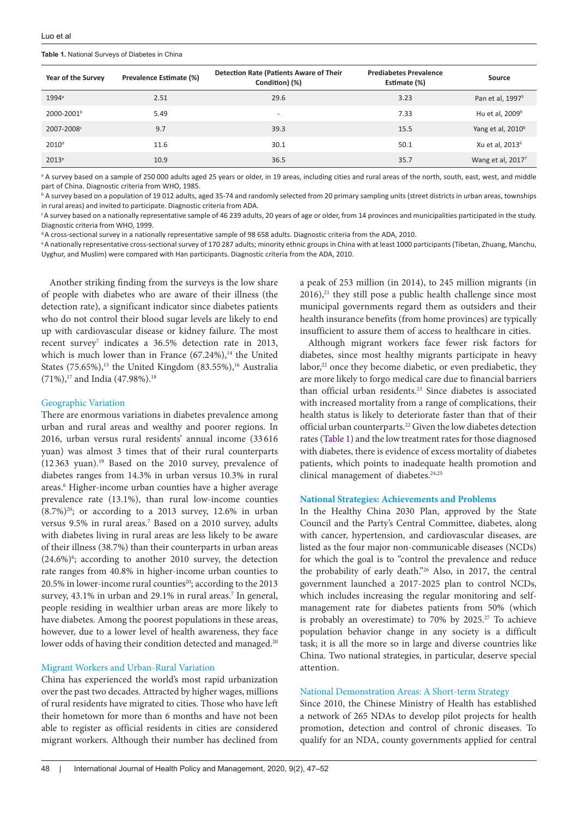<span id="page-1-0"></span>**Table 1.** National Surveys of Diabetes in China

| Year of the Survey     | Prevalence Estimate (%) | Detection Rate (Patients Aware of Their<br>Condition) (%) | <b>Prediabetes Prevalence</b><br>Estimate (%) | Source                        |
|------------------------|-------------------------|-----------------------------------------------------------|-----------------------------------------------|-------------------------------|
| $1994^{\circ}$         | 2.51                    | 29.6                                                      | 3.23                                          | Pan et al, 1997 <sup>5</sup>  |
| 2000-2001 <sup>b</sup> | 5.49                    | $\overline{\phantom{0}}$                                  | 7.33                                          | Hu et al, $2009^9$            |
| 2007-2008°             | 9.7                     | 39.3                                                      | 15.5                                          | Yang et al, 2010 <sup>8</sup> |
| 2010 <sup>d</sup>      | 11.6                    | 30.1                                                      | 50.1                                          | Xu et al, 2013 <sup>6</sup>   |
| $2013^e$               | 10.9                    | 36.5                                                      | 35.7                                          | Wang et al, 2017 <sup>7</sup> |

<sup>a</sup> A survey based on a sample of 250 000 adults aged 25 years or older, in 19 areas, including cities and rural areas of the north, south, east, west, and middle part of China. Diagnostic criteria from WHO, 1985.

b A survey based on a population of 19 012 adults, aged 35-74 and randomly selected from 20 primary sampling units (street districts in urban areas, townships in rural areas) and invited to participate. Diagnostic criteria from ADA.

c A survey based on a nationally representative sample of 46 239 adults, 20 years of age or older, from 14 provinces and municipalities participated in the study. Diagnostic criteria from WHO, 1999.

d A cross-sectional survey in a nationally representative sample of 98 658 adults. Diagnostic criteria from the ADA, 2010.

e A nationally representative cross-sectional survey of 170 287 adults; minority ethnic groups in China with at least 1000 participants (Tibetan, Zhuang, Manchu, Uyghur, and Muslim) were compared with Han participants. Diagnostic criteria from the ADA, 2010.

Another striking finding from the surveys is the low share of people with diabetes who are aware of their illness (the detection rate), a significant indicator since diabetes patients who do not control their blood sugar levels are likely to end up with cardiovascular disease or kidney failure. The most recent survey<sup>7</sup> indicates a 36.5% detection rate in 2013, which is much lower than in France  $(67.24\%)$ ,<sup>14</sup> the United States  $(75.65\%)$ ,<sup>15</sup> the United Kingdom  $(83.55\%)$ ,<sup>16</sup> Australia (71%),<sup>17</sup> and India (47.98%).<sup>18</sup>

### Geographic Variation

There are enormous variations in diabetes prevalence among urban and rural areas and wealthy and poorer regions. In 2016, urban versus rural residents' annual income (33 616 yuan) was almost 3 times that of their rural counterparts  $(12363$  yuan).<sup>19</sup> Based on the 2010 survey, prevalence of diabetes ranges from 14.3% in urban versus 10.3% in rural areas.6 Higher-income urban counties have a higher average prevalence rate (13.1%), than rural low-income counties  $(8.7\%)^{20}$ ; or according to a 2013 survey, 12.6% in urban versus 9.5% in rural areas.7 Based on a 2010 survey, adults with diabetes living in rural areas are less likely to be aware of their illness (38.7%) than their counterparts in urban areas  $(24.6\%)$ <sup>6</sup>; according to another 2010 survey, the detection rate ranges from 40.8% in higher-income urban counties to 20.5% in lower-income rural counties<sup>20</sup>; according to the 2013 survey, 43.1% in urban and 29.1% in rural areas.<sup>7</sup> In general, people residing in wealthier urban areas are more likely to have diabetes. Among the poorest populations in these areas, however, due to a lower level of health awareness, they face lower odds of having their condition detected and managed.<sup>20</sup>

# Migrant Workers and Urban-Rural Variation

China has experienced the world's most rapid urbanization over the past two decades. Attracted by higher wages, millions of rural residents have migrated to cities. Those who have left their hometown for more than 6 months and have not been able to register as official residents in cities are considered migrant workers. Although their number has declined from

a peak of 253 million (in 2014), to 245 million migrants (in  $2016$ ,<sup>21</sup> they still pose a public health challenge since most municipal governments regard them as outsiders and their health insurance benefits (from home provinces) are typically insufficient to assure them of access to healthcare in cities.

Although migrant workers face fewer risk factors for diabetes, since most healthy migrants participate in heavy labor,<sup>22</sup> once they become diabetic, or even prediabetic, they are more likely to forgo medical care due to financial barriers than official urban residents.<sup>23</sup> Since diabetes is associated with increased mortality from a range of complications, their health status is likely to deteriorate faster than that of their official urban counterparts.22 Given the low diabetes detection rates [\(Table 1](#page-1-0)) and the low treatment rates for those diagnosed with diabetes, there is evidence of excess mortality of diabetes patients, which points to inadequate health promotion and clinical management of diabetes.<sup>24,25</sup>

### **National Strategies: Achievements and Problems**

In the Healthy China 2030 Plan, approved by the State Council and the Party's Central Committee, diabetes, along with cancer, hypertension, and cardiovascular diseases, are listed as the four major non-communicable diseases (NCDs) for which the goal is to "control the prevalence and reduce the probability of early death."26 Also, in 2017, the central government launched a 2017-2025 plan to control NCDs, which includes increasing the regular monitoring and selfmanagement rate for diabetes patients from 50% (which is probably an overestimate) to 70% by 2025.<sup>27</sup> To achieve population behavior change in any society is a difficult task; it is all the more so in large and diverse countries like China. Two national strategies, in particular, deserve special attention.

#### National Demonstration Areas: A Short-term Strategy

Since 2010, the Chinese Ministry of Health has established a network of 265 NDAs to develop pilot projects for health promotion, detection and control of chronic diseases. To qualify for an NDA, county governments applied for central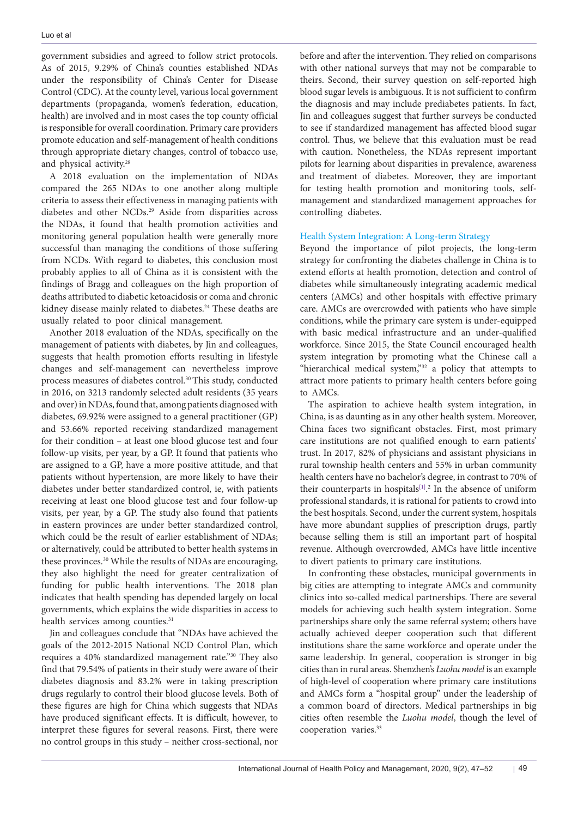government subsidies and agreed to follow strict protocols. As of 2015, 9.29% of China's counties established NDAs under the responsibility of China's Center for Disease Control (CDC). At the county level, various local government departments (propaganda, women's federation, education, health) are involved and in most cases the top county official is responsible for overall coordination. Primary care providers promote education and self-management of health conditions through appropriate dietary changes, control of tobacco use, and physical activity.<sup>28</sup>

A 2018 evaluation on the implementation of NDAs compared the 265 NDAs to one another along multiple criteria to assess their effectiveness in managing patients with diabetes and other NCDs.<sup>29</sup> Aside from disparities across the NDAs, it found that health promotion activities and monitoring general population health were generally more successful than managing the conditions of those suffering from NCDs. With regard to diabetes, this conclusion most probably applies to all of China as it is consistent with the findings of Bragg and colleagues on the high proportion of deaths attributed to diabetic ketoacidosis or coma and chronic kidney disease mainly related to diabetes.<sup>24</sup> These deaths are usually related to poor clinical management.

Another 2018 evaluation of the NDAs, specifically on the management of patients with diabetes, by Jin and colleagues, suggests that health promotion efforts resulting in lifestyle changes and self-management can nevertheless improve process measures of diabetes control.<sup>30</sup> This study, conducted in 2016, on 3213 randomly selected adult residents (35 years and over) in NDAs, found that, among patients diagnosed with diabetes, 69.92% were assigned to a general practitioner (GP) and 53.66% reported receiving standardized management for their condition – at least one blood glucose test and four follow-up visits, per year, by a GP. It found that patients who are assigned to a GP, have a more positive attitude, and that patients without hypertension, are more likely to have their diabetes under better standardized control, ie, with patients receiving at least one blood glucose test and four follow-up visits, per year, by a GP. The study also found that patients in eastern provinces are under better standardized control, which could be the result of earlier establishment of NDAs; or alternatively, could be attributed to better health systems in these provinces.<sup>30</sup> While the results of NDAs are encouraging, they also highlight the need for greater centralization of funding for public health interventions. The 2018 plan indicates that health spending has depended largely on local governments, which explains the wide disparities in access to health services among counties.<sup>31</sup>

Jin and colleagues conclude that "NDAs have achieved the goals of the 2012-2015 National NCD Control Plan, which requires a 40% standardized management rate."30 They also find that 79.54% of patients in their study were aware of their diabetes diagnosis and 83.2% were in taking prescription drugs regularly to control their blood glucose levels. Both of these figures are high for China which suggests that NDAs have produced significant effects. It is difficult, however, to interpret these figures for several reasons. First, there were no control groups in this study – neither cross-sectional, nor

before and after the intervention. They relied on comparisons with other national surveys that may not be comparable to theirs. Second, their survey question on self-reported high blood sugar levels is ambiguous. It is not sufficient to confirm the diagnosis and may include prediabetes patients. In fact, Jin and colleagues suggest that further surveys be conducted to see if standardized management has affected blood sugar control. Thus, we believe that this evaluation must be read with caution. Nonetheless, the NDAs represent important pilots for learning about disparities in prevalence, awareness and treatment of diabetes. Moreover, they are important for testing health promotion and monitoring tools, selfmanagement and standardized management approaches for controlling diabetes.

## Health System Integration: A Long-term Strategy

Beyond the importance of pilot projects, the long-term strategy for confronting the diabetes challenge in China is to extend efforts at health promotion, detection and control of diabetes while simultaneously integrating academic medical centers (AMCs) and other hospitals with effective primary care. AMCs are overcrowded with patients who have simple conditions, while the primary care system is under-equipped with basic medical infrastructure and an under-qualified workforce. Since 2015, the State Council encouraged health system integration by promoting what the Chinese call a "hierarchical medical system,"<sup>32</sup> a policy that attempts to attract more patients to primary health centers before going to AMCs.

The aspiration to achieve health system integration, in China, is as daunting as in any other health system. Moreover, China faces two significant obstacles. First, most primary care institutions are not qualified enough to earn patients' trust. In 2017, 82% of physicians and assistant physicians in rural township health centers and 55% in urban community health centers have no bachelor's degree, in contrast to 70% of their counterparts in hospitals $[1]$ .<sup>2</sup> In the absence of uniform professional standards, it is rational for patients to crowd into the best hospitals. Second, under the current system, hospitals have more abundant supplies of prescription drugs, partly because selling them is still an important part of hospital revenue. Although overcrowded, AMCs have little incentive to divert patients to primary care institutions.

In confronting these obstacles, municipal governments in big cities are attempting to integrate AMCs and community clinics into so-called medical partnerships. There are several models for achieving such health system integration. Some partnerships share only the same referral system; others have actually achieved deeper cooperation such that different institutions share the same workforce and operate under the same leadership. In general, cooperation is stronger in big cities than in rural areas. Shenzhen's *Luohu model* is an example of high-level of cooperation where primary care institutions and AMCs form a "hospital group" under the leadership of a common board of directors. Medical partnerships in big cities often resemble the *Luohu model*, though the level of cooperation varies.33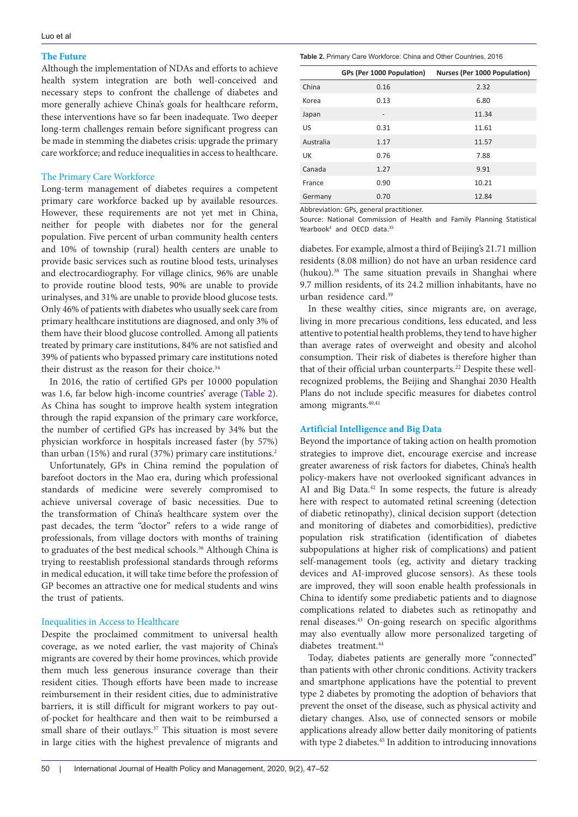# **The Future**

Although the implementation of NDAs and efforts to achieve health system integration are both well-conceived and necessary steps to confront the challenge of diabetes and more generally achieve China's goals for healthcare reform, these interventions have so far been inadequate. Two deeper long-term challenges remain before significant progress can be made in stemming the diabetes crisis: upgrade the primary care workforce; and reduce inequalities in access to healthcare.

## The Primary Care Workforce

Long-term management of diabetes requires a competent primary care workforce backed up by available resources. However, these requirements are not yet met in China, neither for people with diabetes nor for the general population. Five percent of urban community health centers and 10% of township (rural) health centers are unable to provide basic services such as routine blood tests, urinalyses and electrocardiography. For village clinics, 96% are unable to provide routine blood tests, 90% are unable to provide urinalyses, and 31% are unable to provide blood glucose tests. Only 46% of patients with diabetes who usually seek care from primary healthcare institutions are diagnosed, and only 3% of them have their blood glucose controlled. Among all patients treated by primary care institutions, 84% are not satisfied and 39% of patients who bypassed primary care institutions noted their distrust as the reason for their choice.<sup>34</sup>

In 2016, the ratio of certified GPs per 10 000 population was 1.6, far below high-income countries' average [\(Table 2\)](#page-3-0). As China has sought to improve health system integration through the rapid expansion of the primary care workforce, the number of certified GPs has increased by 34% but the physician workforce in hospitals increased faster (by 57%) than urban (15%) and rural (37%) primary care institutions.<sup>2</sup>

Unfortunately, GPs in China remind the population of barefoot doctors in the Mao era, during which professional standards of medicine were severely compromised to achieve universal coverage of basic necessities. Due to the transformation of China's healthcare system over the past decades, the term "doctor" refers to a wide range of professionals, from village doctors with months of training to graduates of the best medical schools.<sup>36</sup> Although China is trying to reestablish professional standards through reforms in medical education, it will take time before the profession of GP becomes an attractive one for medical students and wins the trust of patients.

# Inequalities in Access to Healthcare

Despite the proclaimed commitment to universal health coverage, as we noted earlier, the vast majority of China's migrants are covered by their home provinces, which provide them much less generous insurance coverage than their resident cities. Though efforts have been made to increase reimbursement in their resident cities, due to administrative barriers, it is still difficult for migrant workers to pay outof-pocket for healthcare and then wait to be reimbursed a small share of their outlays.<sup>37</sup> This situation is most severe in large cities with the highest prevalence of migrants and

<span id="page-3-0"></span>**Table 2.** Primary Care Workforce: China and Other Countries, 2016

|           | GPs (Per 1000 Population) | Nurses (Per 1000 Population) |
|-----------|---------------------------|------------------------------|
| China     | 0.16                      | 2.32                         |
| Korea     | 0.13                      | 6.80                         |
| Japan     | $\overline{\phantom{m}}$  | 11.34                        |
| US        | 0.31                      | 11.61                        |
| Australia | 1.17                      | 11.57                        |
| UK        | 0.76                      | 7.88                         |
| Canada    | 1.27                      | 9.91                         |
| France    | 0.90                      | 10.21                        |
| Germany   | 0.70                      | 12.84                        |

Abbreviation: GPs, general practitioner.

Source: National Commission of Health and Family Planning Statistical Yearbook<sup>3</sup> and OECD data.<sup>35</sup>

diabetes. For example, almost a third of Beijing's 21.71 million residents (8.08 million) do not have an urban residence card (hukou).38 The same situation prevails in Shanghai where 9.7 million residents, of its 24.2 million inhabitants, have no urban residence card.39

In these wealthy cities, since migrants are, on average, living in more precarious conditions, less educated, and less attentive to potential health problems, they tend to have higher than average rates of overweight and obesity and alcohol consumption. Their risk of diabetes is therefore higher than that of their official urban counterparts.<sup>22</sup> Despite these wellrecognized problems, the Beijing and Shanghai 2030 Health Plans do not include specific measures for diabetes control among migrants.<sup>40,41</sup>

## **Artificial Intelligence and Big Data**

Beyond the importance of taking action on health promotion strategies to improve diet, encourage exercise and increase greater awareness of risk factors for diabetes, China's health policy-makers have not overlooked significant advances in AI and Big Data.<sup>42</sup> In some respects, the future is already here with respect to automated retinal screening (detection of diabetic retinopathy), clinical decision support (detection and monitoring of diabetes and comorbidities), predictive population risk stratification (identification of diabetes subpopulations at higher risk of complications) and patient self-management tools (eg, activity and dietary tracking devices and AI-improved glucose sensors). As these tools are improved, they will soon enable health professionals in China to identify some prediabetic patients and to diagnose complications related to diabetes such as retinopathy and renal diseases.43 On-going research on specific algorithms may also eventually allow more personalized targeting of diabetes treatment.<sup>44</sup>

Today, diabetes patients are generally more "connected" than patients with other chronic conditions. Activity trackers and smartphone applications have the potential to prevent type 2 diabetes by promoting the adoption of behaviors that prevent the onset of the disease, such as physical activity and dietary changes. Also, use of connected sensors or mobile applications already allow better daily monitoring of patients with type 2 diabetes.<sup>45</sup> In addition to introducing innovations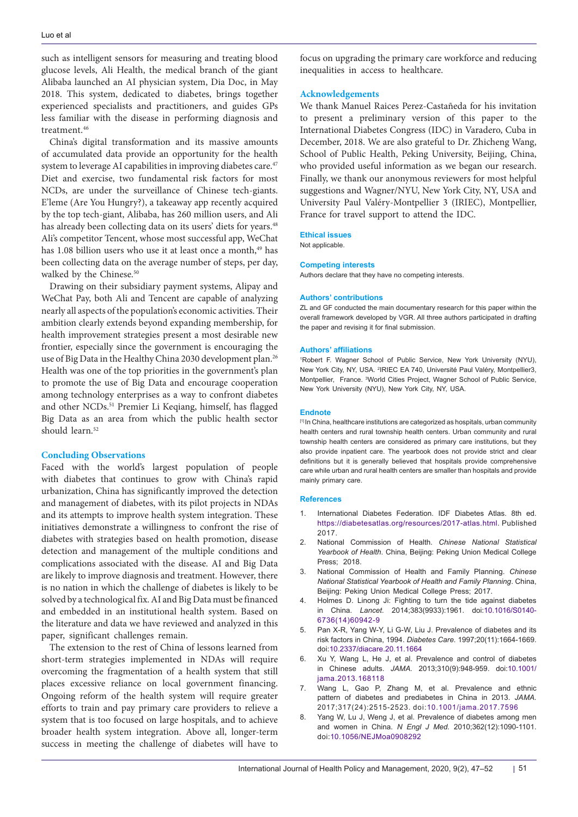such as intelligent sensors for measuring and treating blood glucose levels, Ali Health, the medical branch of the giant Alibaba launched an AI physician system, Dia Doc, in May 2018. This system, dedicated to diabetes, brings together experienced specialists and practitioners, and guides GPs less familiar with the disease in performing diagnosis and treatment.<sup>46</sup>

China's digital transformation and its massive amounts of accumulated data provide an opportunity for the health system to leverage AI capabilities in improving diabetes care.<sup>47</sup> Diet and exercise, two fundamental risk factors for most NCDs, are under the surveillance of Chinese tech-giants. E'leme (Are You Hungry?), a takeaway app recently acquired by the top tech-giant, Alibaba, has 260 million users, and Ali has already been collecting data on its users' diets for years.<sup>48</sup> Ali's competitor Tencent, whose most successful app, WeChat has 1.08 billion users who use it at least once a month,<sup>49</sup> has been collecting data on the average number of steps, per day, walked by the Chinese.<sup>50</sup>

Drawing on their subsidiary payment systems, Alipay and WeChat Pay, both Ali and Tencent are capable of analyzing nearly all aspects of the population's economic activities. Their ambition clearly extends beyond expanding membership, for health improvement strategies present a most desirable new frontier, especially since the government is encouraging the use of Big Data in the Healthy China 2030 development plan.<sup>26</sup> Health was one of the top priorities in the government's plan to promote the use of Big Data and encourage cooperation among technology enterprises as a way to confront diabetes and other NCDs.<sup>51</sup> Premier Li Keqiang, himself, has flagged Big Data as an area from which the public health sector should learn.<sup>52</sup>

## **Concluding Observations**

Faced with the world's largest population of people with diabetes that continues to grow with China's rapid urbanization, China has significantly improved the detection and management of diabetes, with its pilot projects in NDAs and its attempts to improve health system integration. These initiatives demonstrate a willingness to confront the rise of diabetes with strategies based on health promotion, disease detection and management of the multiple conditions and complications associated with the disease. AI and Big Data are likely to improve diagnosis and treatment. However, there is no nation in which the challenge of diabetes is likely to be solved by a technological fix. AI and Big Data must be financed and embedded in an institutional health system. Based on the literature and data we have reviewed and analyzed in this paper, significant challenges remain.

The extension to the rest of China of lessons learned from short-term strategies implemented in NDAs will require overcoming the fragmentation of a health system that still places excessive reliance on local government financing. Ongoing reform of the health system will require greater efforts to train and pay primary care providers to relieve a system that is too focused on large hospitals, and to achieve broader health system integration. Above all, longer-term success in meeting the challenge of diabetes will have to

focus on upgrading the primary care workforce and reducing inequalities in access to healthcare.

## **Acknowledgements**

We thank Manuel Raices Perez-Castañeda for his invitation to present a preliminary version of this paper to the International Diabetes Congress (IDC) in Varadero, Cuba in December, 2018. We are also grateful to Dr. Zhicheng Wang, School of Public Health, Peking University, Beijing, China, who provided useful information as we began our research. Finally, we thank our anonymous reviewers for most helpful suggestions and Wagner/NYU, New York City, NY, USA and University Paul Valéry-Montpellier 3 (IRIEC), Montpellier, France for travel support to attend the IDC.

#### **Ethical issues**

Not applicable.

#### **Competing interests**

Authors declare that they have no competing interests.

#### **Authors' contributions**

ZL and GF conducted the main documentary research for this paper within the overall framework developed by VGR. All three authors participated in drafting the paper and revising it for final submission.

#### **Authors' affiliations**

1 Robert F. Wagner School of Public Service, New York University (NYU), New York City, NY, USA. <sup>2</sup>IRIEC EA 740, Université Paul Valéry, Montpellier3, Montpellier, France. <sup>3</sup>World Cities Project, Wagner School of Public Service, New York University (NYU), New York City, NY, USA.

#### **Endnote**

<span id="page-4-0"></span>[1] In China, healthcare institutions are categorized as hospitals, urban community health centers and rural township health centers. Urban community and rural township health centers are considered as primary care institutions, but they also provide inpatient care. The yearbook does not provide strict and clear definitions but it is generally believed that hospitals provide comprehensive care while urban and rural health centers are smaller than hospitals and provide mainly primary care.

#### **References**

- 1. International Diabetes Federation. IDF Diabetes Atlas. 8th ed. <https://diabetesatlas.org/resources/2017-atlas.html>. Published 2017.
- 2. National Commission of Health. *Chinese National Statistical Yearbook of Health*. China, Beijing: Peking Union Medical College Press; 2018.
- 3. National Commission of Health and Family Planning. *Chinese National Statistical Yearbook of Health and Family Planning*. China, Beijing: Peking Union Medical College Press; 2017.
- 4. Holmes D. Linong Ji: Fighting to turn the tide against diabetes in China. *Lancet.* 2014;383(9933):1961. doi:[10.1016/S0140-](https://doi.org/10.1016/S0140-6736(14)60942-9) [6736\(14\)60942-9](https://doi.org/10.1016/S0140-6736(14)60942-9)
- 5. Pan X-R, Yang W-Y, Li G-W, Liu J. Prevalence of diabetes and its risk factors in China, 1994. *Diabetes Care.* 1997;20(11):1664-1669. doi[:10.2337/diacare.20.11.1664](https://doi.org/10.2337/diacare.20.11.1664)
- 6. Xu Y, Wang L, He J, et al. Prevalence and control of diabetes in Chinese adults. *JAMA.* 2013;310(9):948-959. doi[:10.1001/](https://doi.org/10.1001/jama.2013.168118) [jama.2013.168118](https://doi.org/10.1001/jama.2013.168118)
- 7. Wang L, Gao P, Zhang M, et al. Prevalence and ethnic pattern of diabetes and prediabetes in China in 2013. *JAMA.*  2017;317(24):2515-2523. doi:[10.1001/jama.2017.7596](https://doi.org/10.1001/jama.2017.7596)
- 8. Yang W, Lu J, Weng J, et al. Prevalence of diabetes among men and women in China. *N Engl J Med.* 2010;362(12):1090-1101. doi[:10.1056/NEJMoa0908292](https://doi.org/10.1056/NEJMoa0908292)